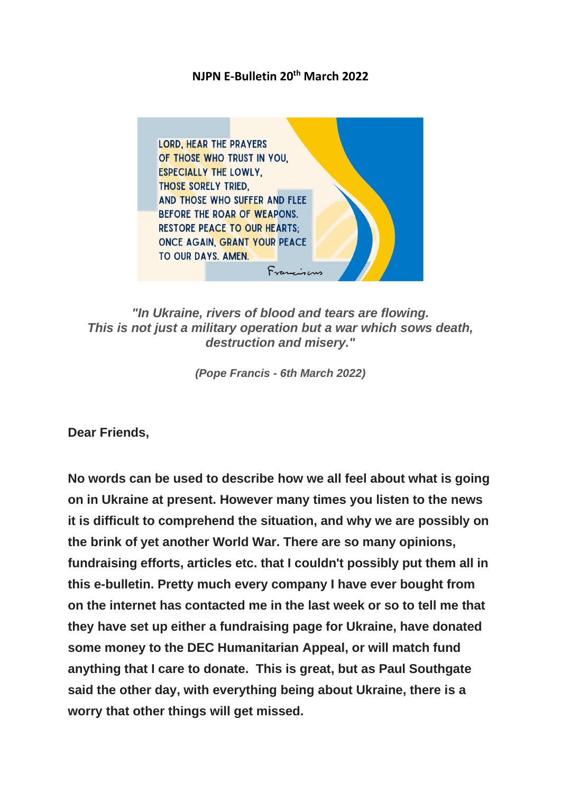## **NJPN E-Bulletin 20th March 2022**



*"In Ukraine, rivers of blood and tears are flowing. This is not just a military operation but a war which sows death, destruction and misery."*

*(Pope Francis - 6th March 2022)*

**Dear Friends,**

**No words can be used to describe how we all feel about what is going on in Ukraine at present. However many times you listen to the news it is difficult to comprehend the situation, and why we are possibly on the brink of yet another World War. There are so many opinions, fundraising efforts, articles etc. that I couldn't possibly put them all in this e-bulletin. Pretty much every company I have ever bought from on the internet has contacted me in the last week or so to tell me that they have set up either a fundraising page for Ukraine, have donated some money to the DEC Humanitarian Appeal, or will match fund anything that I care to donate. This is great, but as Paul Southgate said the other day, with everything being about Ukraine, there is a worry that other things will get missed.**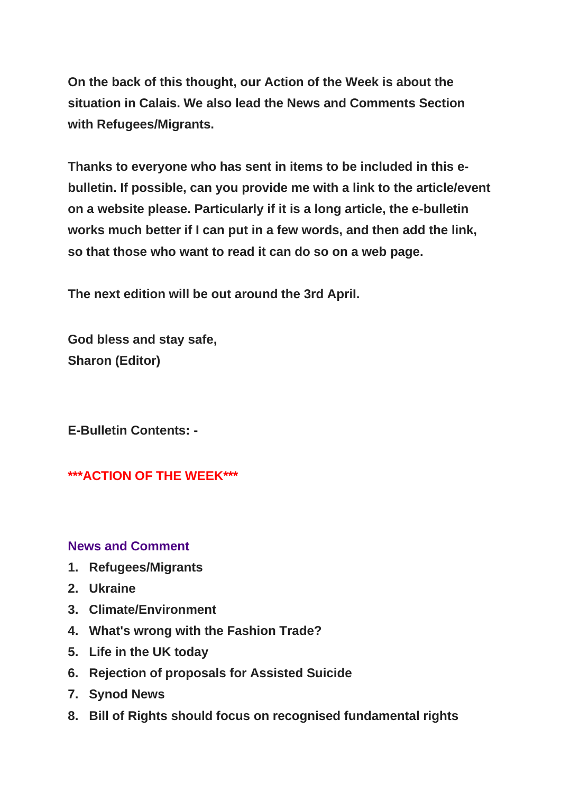**On the back of this thought, our Action of the Week is about the situation in Calais. We also lead the News and Comments Section with Refugees/Migrants.**

**Thanks to everyone who has sent in items to be included in this ebulletin. If possible, can you provide me with a link to the article/event on a website please. Particularly if it is a long article, the e-bulletin works much better if I can put in a few words, and then add the link, so that those who want to read it can do so on a web page.**

**The next edition will be out around the 3rd ApriI.** 

**God bless and stay safe, Sharon (Editor)**

**E-Bulletin Contents: -**

**\*\*\*ACTION OF THE WEEK\*\*\***

### **News and Comment**

- **1. Refugees/Migrants**
- **2. Ukraine**
- **3. Climate/Environment**
- **4. What's wrong with the Fashion Trade?**
- **5. Life in the UK today**
- **6. Rejection of proposals for Assisted Suicide**
- **7. Synod News**
- **8. Bill of Rights should focus on recognised fundamental rights**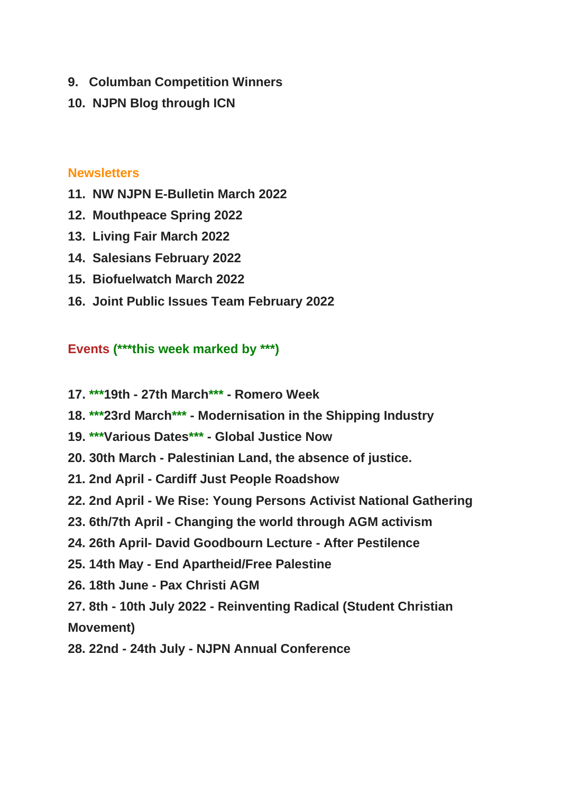- **9. Columban Competition Winners**
- **10. NJPN Blog through ICN**

## **Newsletters**

- **11. NW NJPN E-Bulletin March 2022**
- **12. Mouthpeace Spring 2022**
- **13. Living Fair March 2022**
- **14. Salesians February 2022**
- **15. Biofuelwatch March 2022**
- **16. Joint Public Issues Team February 2022**

## **Events (\*\*\*this week marked by \*\*\*)**

- **17. \*\*\*19th - 27th March\*\*\* - Romero Week**
- **18. \*\*\*23rd March\*\*\* - Modernisation in the Shipping Industry**
- **19. \*\*\*Various Dates\*\*\* - Global Justice Now**
- **20. 30th March - Palestinian Land, the absence of justice.**
- **21. 2nd April - Cardiff Just People Roadshow**
- **22. 2nd April - We Rise: Young Persons Activist National Gathering**
- **23. 6th/7th April - Changing the world through AGM activism**
- **24. 26th April- David Goodbourn Lecture - After Pestilence**
- **25. 14th May - End Apartheid/Free Palestine**
- **26. 18th June - Pax Christi AGM**

**27. 8th - 10th July 2022 - Reinventing Radical (Student Christian Movement)**

**28. 22nd - 24th July - NJPN Annual Conference**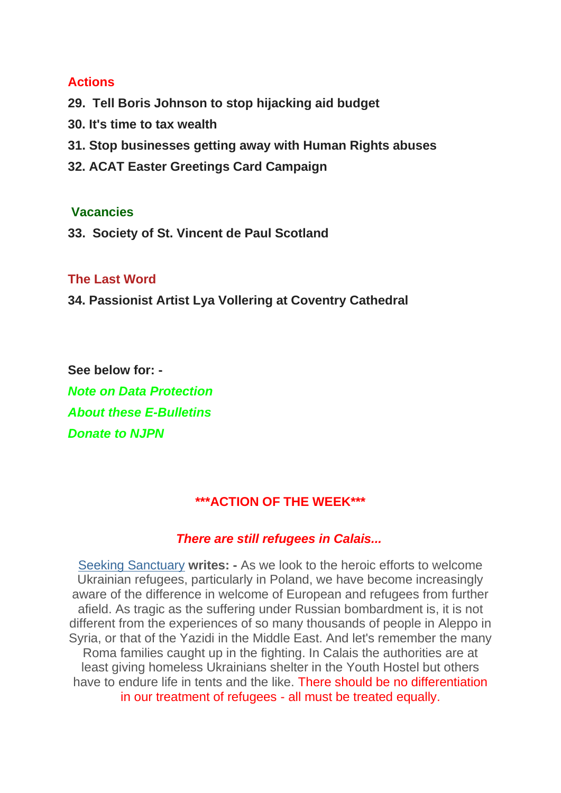### **Actions**

- **29. Tell Boris Johnson to stop hijacking aid budget**
- **30. It's time to tax wealth**
- **31. Stop businesses getting away with Human Rights abuses**
- **32. ACAT Easter Greetings Card Campaign**

### **Vacancies**

**33. Society of St. Vincent de Paul Scotland**

### **The Last Word**

**34. Passionist Artist Lya Vollering at Coventry Cathedral**

**See below for: -** *Note on Data Protection About these E-Bulletins Donate to NJPN*

## **\*\*\*ACTION OF THE WEEK\*\*\***

### *There are still refugees in Calais...*

[Seeking Sanctuary](https://justice-and-peace.us7.list-manage.com/track/click?u=43dc262537b1536e87dc04eca&id=67eafcbce1&e=21ab98db78) **writes: -** As we look to the heroic efforts to welcome Ukrainian refugees, particularly in Poland, we have become increasingly aware of the difference in welcome of European and refugees from further afield. As tragic as the suffering under Russian bombardment is, it is not different from the experiences of so many thousands of people in Aleppo in Syria, or that of the Yazidi in the Middle East. And let's remember the many Roma families caught up in the fighting. In Calais the authorities are at least giving homeless Ukrainians shelter in the Youth Hostel but others have to endure life in tents and the like. There should be no differentiation in our treatment of refugees - all must be treated equally.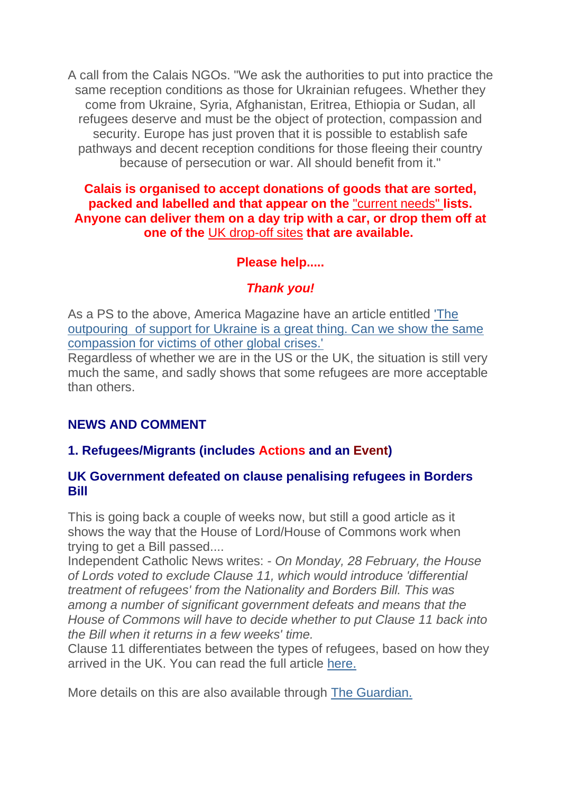A call from the Calais NGOs. "We ask the authorities to put into practice the same reception conditions as those for Ukrainian refugees. Whether they come from Ukraine, Syria, Afghanistan, Eritrea, Ethiopia or Sudan, all refugees deserve and must be the object of protection, compassion and security. Europe has just proven that it is possible to establish safe pathways and decent reception conditions for those fleeing their country because of persecution or war. All should benefit from it."

**Calais is organised to accept donations of goods that are sorted, packed and labelled and that appear on the** ["current needs"](https://justice-and-peace.us7.list-manage.com/track/click?u=43dc262537b1536e87dc04eca&id=d2cfe3d95a&e=21ab98db78) **lists. Anyone can deliver them on a day trip with a car, or drop them off at one of the** [UK drop-off sites](https://justice-and-peace.us7.list-manage.com/track/click?u=43dc262537b1536e87dc04eca&id=c2d0689fc4&e=21ab98db78) **that are available.**

## **Please help.....**

## *Thank you!*

As a PS to the above, America Magazine have an article entitled ['The](https://justice-and-peace.us7.list-manage.com/track/click?u=43dc262537b1536e87dc04eca&id=3574fcffa8&e=21ab98db78)  outpouring [of support for Ukraine is a great thing. Can we show the same](https://justice-and-peace.us7.list-manage.com/track/click?u=43dc262537b1536e87dc04eca&id=3574fcffa8&e=21ab98db78)  [compassion for victims of other global crises.'](https://justice-and-peace.us7.list-manage.com/track/click?u=43dc262537b1536e87dc04eca&id=3574fcffa8&e=21ab98db78)

Regardless of whether we are in the US or the UK, the situation is still very much the same, and sadly shows that some refugees are more acceptable than others.

## **NEWS AND COMMENT**

## **1. Refugees/Migrants (includes Actions and an Event)**

### **UK Government defeated on clause penalising refugees in Borders Bill**

This is going back a couple of weeks now, but still a good article as it shows the way that the House of Lord/House of Commons work when trying to get a Bill passed....

Independent Catholic News writes: - *On Monday, 28 February, the House of Lords voted to exclude Clause 11, which would introduce 'differential treatment of refugees' from the Nationality and Borders Bill. This was among a number of significant government defeats and means that the House of Commons will have to decide whether to put Clause 11 back into the Bill when it returns in a few weeks' time.*

Clause 11 differentiates between the types of refugees, based on how they arrived in the UK. You can read the full article [here.](https://justice-and-peace.us7.list-manage.com/track/click?u=43dc262537b1536e87dc04eca&id=cf5a636282&e=21ab98db78)

More details on this are also available through [The Guardian.](https://justice-and-peace.us7.list-manage.com/track/click?u=43dc262537b1536e87dc04eca&id=1d09130304&e=21ab98db78)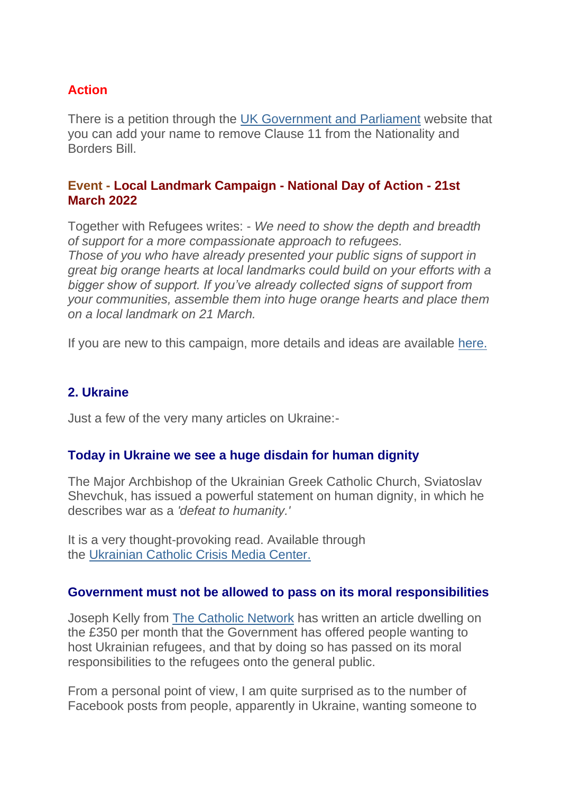## **Action**

There is a petition through the [UK Government and Parliament](https://justice-and-peace.us7.list-manage.com/track/click?u=43dc262537b1536e87dc04eca&id=83e8d2a453&e=21ab98db78) website that you can add your name to remove Clause 11 from the Nationality and Borders Bill.

### **Event - Local Landmark Campaign - National Day of Action - 21st March 2022**

Together with Refugees writes: - *We need to show the depth and breadth of support for a more compassionate approach to refugees. Those of you who have already presented your public signs of support in great big orange hearts at local landmarks could build on your efforts with a bigger show of support. If you've already collected signs of support from your communities, assemble them into huge orange hearts and place them on a local landmark on 21 March.*

If you are new to this campaign, more details and ideas are available [here.](https://justice-and-peace.us7.list-manage.com/track/click?u=43dc262537b1536e87dc04eca&id=5d9e3bee3c&e=21ab98db78)

## **2. Ukraine**

Just a few of the very many articles on Ukraine:-

## **Today in Ukraine we see a huge disdain for human dignity**

The Major Archbishop of the Ukrainian Greek Catholic Church, Sviatoslav Shevchuk, has issued a powerful statement on human dignity, in which he describes war as a *'defeat to humanity.'*

It is a very thought-provoking read. Available through the Ukrainian [Catholic Crisis Media Center.](https://justice-and-peace.us7.list-manage.com/track/click?u=43dc262537b1536e87dc04eca&id=0f2b770da3&e=21ab98db78)

### **Government must not be allowed to pass on its moral responsibilities**

Joseph Kelly from [The Catholic Network](https://justice-and-peace.us7.list-manage.com/track/click?u=43dc262537b1536e87dc04eca&id=970a3e9af9&e=21ab98db78) has written an article dwelling on the £350 per month that the Government has offered people wanting to host Ukrainian refugees, and that by doing so has passed on its moral responsibilities to the refugees onto the general public.

From a personal point of view, I am quite surprised as to the number of Facebook posts from people, apparently in Ukraine, wanting someone to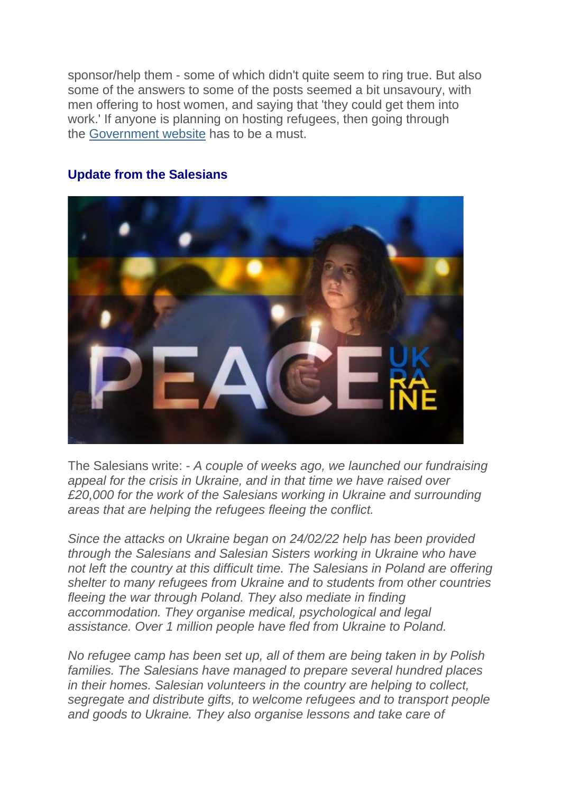sponsor/help them - some of which didn't quite seem to ring true. But also some of the answers to some of the posts seemed a bit unsavoury, with men offering to host women, and saying that 'they could get them into work.' If anyone is planning on hosting refugees, then going through the [Government website](https://justice-and-peace.us7.list-manage.com/track/click?u=43dc262537b1536e87dc04eca&id=e7fb701998&e=21ab98db78) has to be a must.



### **Update from the Salesians**

The Salesians write: - *A couple of weeks ago, we launched our fundraising appeal for the crisis in Ukraine, and in that time we have raised over £20,000 for the work of the Salesians working in Ukraine and surrounding areas that are helping the refugees fleeing the conflict.*

*Since the attacks on Ukraine began on 24/02/22 help has been provided through the Salesians and Salesian Sisters working in Ukraine who have not left the country at this difficult time. The Salesians in Poland are offering shelter to many refugees from Ukraine and to students from other countries fleeing the war through Poland. They also mediate in finding accommodation. They organise medical, psychological and legal assistance. Over 1 million people have fled from Ukraine to Poland.*

*No refugee camp has been set up, all of them are being taken in by Polish families. The Salesians have managed to prepare several hundred places in their homes. Salesian volunteers in the country are helping to collect, segregate and distribute gifts, to welcome refugees and to transport people and goods to Ukraine. They also organise lessons and take care of*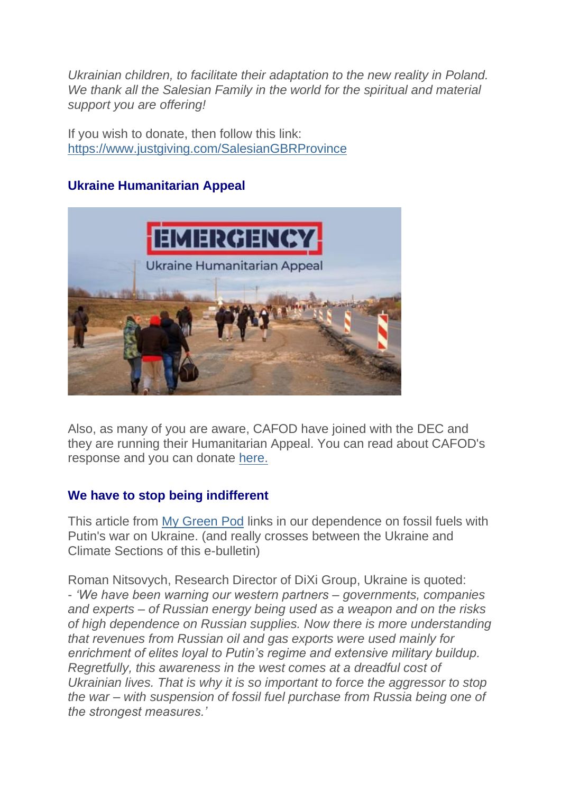*Ukrainian children, to facilitate their adaptation to the new reality in Poland. We thank all the Salesian Family in the world for the spiritual and material support you are offering!*

If you wish to donate, then follow this link: [https://www.justgiving.com/SalesianGBRProvince](https://justice-and-peace.us7.list-manage.com/track/click?u=43dc262537b1536e87dc04eca&id=43f0220e85&e=21ab98db78)

## **Ukraine Humanitarian Appeal**



Also, as many of you are aware, CAFOD have joined with the DEC and they are running their Humanitarian Appeal. You can read about CAFOD's response and you can donate [here.](https://justice-and-peace.us7.list-manage.com/track/click?u=43dc262537b1536e87dc04eca&id=89661e56ec&e=21ab98db78)

## **We have to stop being indifferent**

This article from [My Green Pod](https://justice-and-peace.us7.list-manage.com/track/click?u=43dc262537b1536e87dc04eca&id=b4d627494b&e=21ab98db78) links in our dependence on fossil fuels with Putin's war on Ukraine. (and really crosses between the Ukraine and Climate Sections of this e-bulletin)

Roman Nitsovych, Research Director of DiXi Group, Ukraine is quoted: - *'We have been warning our western partners – governments, companies and experts – of Russian energy being used as a weapon and on the risks of high dependence on Russian supplies. Now there is more understanding that revenues from Russian oil and gas exports were used mainly for enrichment of elites loyal to Putin's regime and extensive military buildup. Regretfully, this awareness in the west comes at a dreadful cost of Ukrainian lives. That is why it is so important to force the aggressor to stop the war – with suspension of fossil fuel purchase from Russia being one of the strongest measures.'*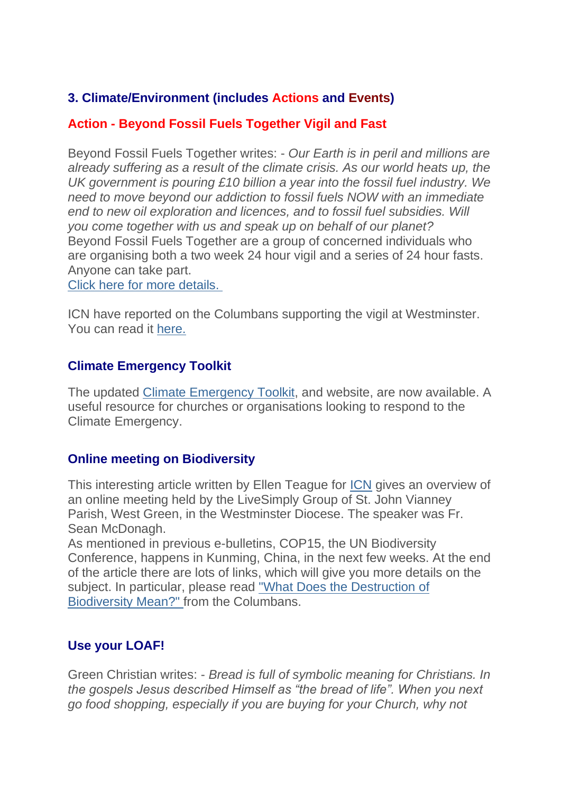## **3. Climate/Environment (includes Actions and Events)**

## **Action - Beyond Fossil Fuels Together Vigil and Fast**

Beyond Fossil Fuels Together writes: - *Our Earth is in peril and millions are already suffering as a result of the climate crisis. As our world heats up, the UK government is pouring £10 billion a year into the fossil fuel industry. We need to move beyond our addiction to fossil fuels NOW with an immediate end to new oil exploration and licences, and to fossil fuel subsidies. Will you come together with us and speak up on behalf of our planet?* Beyond Fossil Fuels Together are a group of concerned individuals who are organising both a two week 24 hour vigil and a series of 24 hour fasts. Anyone can take part.

[Click here for more details.](https://justice-and-peace.us7.list-manage.com/track/click?u=43dc262537b1536e87dc04eca&id=fa6c5459a6&e=21ab98db78)

ICN have reported on the Columbans supporting the vigil at Westminster. You can read it [here.](https://justice-and-peace.us7.list-manage.com/track/click?u=43dc262537b1536e87dc04eca&id=02e2341657&e=21ab98db78)

## **Climate Emergency Toolkit**

The updated [Climate Emergency Toolkit,](https://justice-and-peace.us7.list-manage.com/track/click?u=43dc262537b1536e87dc04eca&id=21657522c8&e=21ab98db78) and website, are now available. A useful resource for churches or organisations looking to respond to the Climate Emergency.

## **Online meeting on Biodiversity**

This interesting article written by Ellen Teague for [ICN](https://justice-and-peace.us7.list-manage.com/track/click?u=43dc262537b1536e87dc04eca&id=da986fd768&e=21ab98db78) gives an overview of an online meeting held by the LiveSimply Group of St. John Vianney Parish, West Green, in the Westminster Diocese. The speaker was Fr. Sean McDonagh.

As mentioned in previous e-bulletins, COP15, the UN Biodiversity Conference, happens in Kunming, China, in the next few weeks. At the end of the article there are lots of links, which will give you more details on the subject. In particular, please read ["What Does the Destruction of](https://justice-and-peace.us7.list-manage.com/track/click?u=43dc262537b1536e87dc04eca&id=afae947546&e=21ab98db78)  [Biodiversity Mean?"](https://justice-and-peace.us7.list-manage.com/track/click?u=43dc262537b1536e87dc04eca&id=afae947546&e=21ab98db78) from the Columbans.

## **Use your LOAF!**

Green Christian writes: - *Bread is full of symbolic meaning for Christians. In the gospels Jesus described Himself as "the bread of life". When you next go food shopping, especially if you are buying for your Church, why not*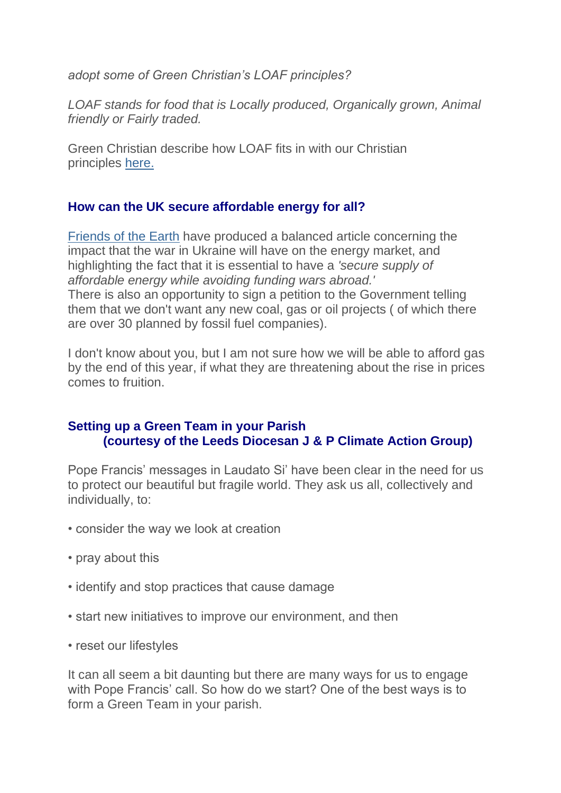*adopt some of Green Christian's LOAF principles?*

*LOAF stands for food that is Locally produced, Organically grown, Animal friendly or Fairly traded.*

Green Christian describe how LOAF fits in with our Christian principles [here.](https://justice-and-peace.us7.list-manage.com/track/click?u=43dc262537b1536e87dc04eca&id=94e8f485bc&e=21ab98db78)

## **How can the UK secure affordable energy for all?**

[Friends of the Earth](https://justice-and-peace.us7.list-manage.com/track/click?u=43dc262537b1536e87dc04eca&id=2d505b0519&e=21ab98db78) have produced a balanced article concerning the impact that the war in Ukraine will have on the energy market, and highlighting the fact that it is essential to have a *'secure supply of affordable energy while avoiding funding wars abroad.'* There is also an opportunity to sign a petition to the Government telling them that we don't want any new coal, gas or oil projects ( of which there are over 30 planned by fossil fuel companies).

I don't know about you, but I am not sure how we will be able to afford gas by the end of this year, if what they are threatening about the rise in prices comes to fruition.

## **Setting up a Green Team in your Parish (courtesy of the Leeds Diocesan J & P Climate Action Group)**

Pope Francis' messages in Laudato Si' have been clear in the need for us to protect our beautiful but fragile world. They ask us all, collectively and individually, to:

- consider the way we look at creation
- pray about this
- identify and stop practices that cause damage
- start new initiatives to improve our environment, and then
- reset our lifestyles

It can all seem a bit daunting but there are many ways for us to engage with Pope Francis' call. So how do we start? One of the best ways is to form a Green Team in your parish.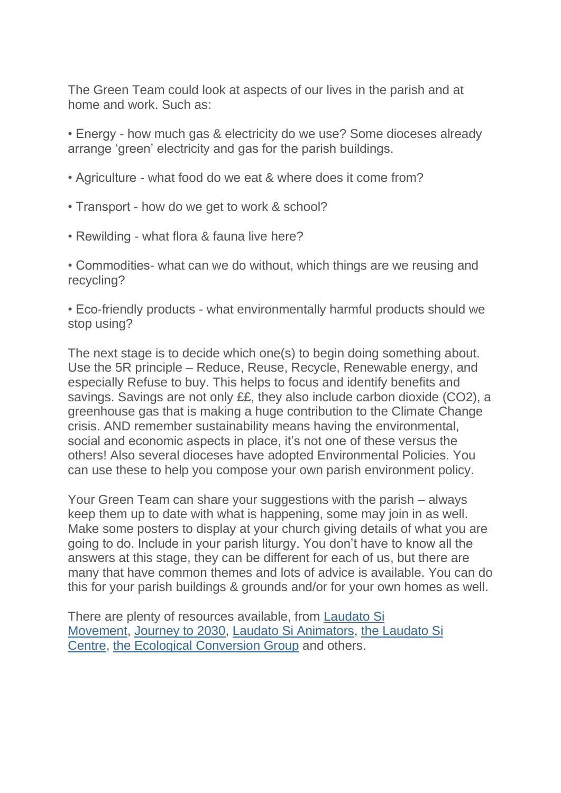The Green Team could look at aspects of our lives in the parish and at home and work. Such as:

• Energy - how much gas & electricity do we use? Some dioceses already arrange 'green' electricity and gas for the parish buildings.

- Agriculture what food do we eat & where does it come from?
- Transport how do we get to work & school?
- Rewilding what flora & fauna live here?

• Commodities- what can we do without, which things are we reusing and recycling?

• Eco-friendly products - what environmentally harmful products should we stop using?

The next stage is to decide which one(s) to begin doing something about. Use the 5R principle – Reduce, Reuse, Recycle, Renewable energy, and especially Refuse to buy. This helps to focus and identify benefits and savings. Savings are not only ££, they also include carbon dioxide (CO2), a greenhouse gas that is making a huge contribution to the Climate Change crisis. AND remember sustainability means having the environmental, social and economic aspects in place, it's not one of these versus the others! Also several dioceses have adopted Environmental Policies. You can use these to help you compose your own parish environment policy.

Your Green Team can share your suggestions with the parish – always keep them up to date with what is happening, some may join in as well. Make some posters to display at your church giving details of what you are going to do. Include in your parish liturgy. You don't have to know all the answers at this stage, they can be different for each of us, but there are many that have common themes and lots of advice is available. You can do this for your parish buildings & grounds and/or for your own homes as well.

There are plenty of resources available, from [Laudato Si](https://justice-and-peace.us7.list-manage.com/track/click?u=43dc262537b1536e87dc04eca&id=183f8a8fce&e=21ab98db78)  [Movement,](https://justice-and-peace.us7.list-manage.com/track/click?u=43dc262537b1536e87dc04eca&id=183f8a8fce&e=21ab98db78) [Journey to 2030,](https://justice-and-peace.us7.list-manage.com/track/click?u=43dc262537b1536e87dc04eca&id=0d7f23d3f4&e=21ab98db78) [Laudato Si Animators,](https://justice-and-peace.us7.list-manage.com/track/click?u=43dc262537b1536e87dc04eca&id=a3c29b6335&e=21ab98db78) [the Laudato Si](https://justice-and-peace.us7.list-manage.com/track/click?u=43dc262537b1536e87dc04eca&id=f85bb1d33d&e=21ab98db78)  [Centre,](https://justice-and-peace.us7.list-manage.com/track/click?u=43dc262537b1536e87dc04eca&id=f85bb1d33d&e=21ab98db78) [the Ecological Conversion Group](https://justice-and-peace.us7.list-manage.com/track/click?u=43dc262537b1536e87dc04eca&id=ae454c0ee4&e=21ab98db78) and others.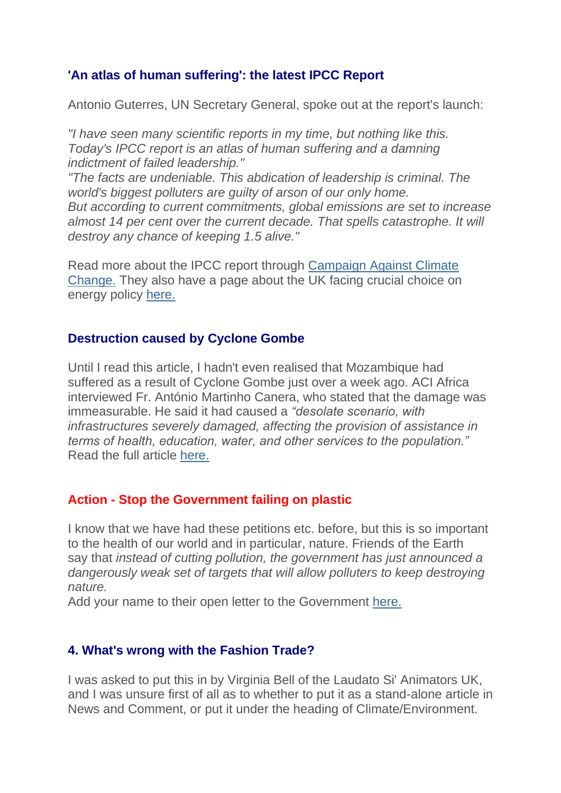## **'An atlas of human suffering': the latest IPCC Report**

Antonio Guterres, UN Secretary General, spoke out at the report's launch:

*"I have seen many scientific reports in my time, but nothing like this. Today's IPCC report is an atlas of human suffering and a damning indictment of failed leadership."*

*"The facts are undeniable. This abdication of leadership is criminal. The world's biggest polluters are guilty of arson of our only home. But according to current commitments, global emissions are set to increase*  almost 14 per cent over the current decade. That spells catastrophe. It will *destroy any chance of keeping 1.5 alive."*

Read more about the IPCC report through [Campaign Against Climate](https://justice-and-peace.us7.list-manage.com/track/click?u=43dc262537b1536e87dc04eca&id=d5d691da11&e=21ab98db78)  [Change.](https://justice-and-peace.us7.list-manage.com/track/click?u=43dc262537b1536e87dc04eca&id=d5d691da11&e=21ab98db78) They also have a page about the UK facing crucial choice on energy policy [here.](https://justice-and-peace.us7.list-manage.com/track/click?u=43dc262537b1536e87dc04eca&id=c82b131e3c&e=21ab98db78)

### **Destruction caused by Cyclone Gombe**

Until I read this article, I hadn't even realised that Mozambique had suffered as a result of Cyclone Gombe just over a week ago. ACI Africa interviewed Fr. António Martinho Canera, who stated that the damage was immeasurable. He said it had caused a *"desolate scenario, with infrastructures severely damaged, affecting the provision of assistance in terms of health, education, water, and other services to the population."* Read the full article [here.](https://justice-and-peace.us7.list-manage.com/track/click?u=43dc262537b1536e87dc04eca&id=79393bcff3&e=21ab98db78)

### **Action - Stop the Government failing on plastic**

I know that we have had these petitions etc. before, but this is so important to the health of our world and in particular, nature. Friends of the Earth say that *instead of cutting pollution, the government has just announced a dangerously weak set of targets that will allow polluters to keep destroying nature.*

Add your name to their open letter to the Government [here.](https://justice-and-peace.us7.list-manage.com/track/click?u=43dc262537b1536e87dc04eca&id=40cb1ff295&e=21ab98db78)

### **4. What's wrong with the Fashion Trade?**

I was asked to put this in by Virginia Bell of the Laudato Si' Animators UK, and I was unsure first of all as to whether to put it as a stand-alone article in News and Comment, or put it under the heading of Climate/Environment.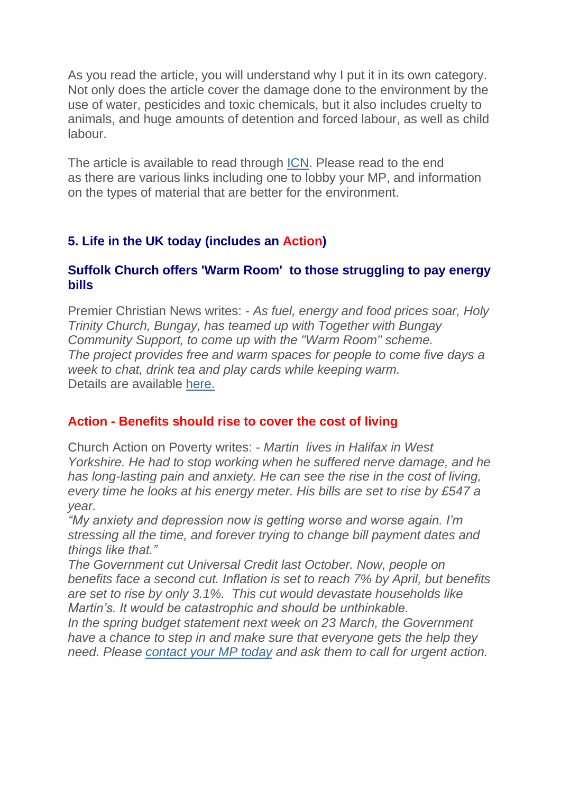As you read the article, you will understand why I put it in its own category. Not only does the article cover the damage done to the environment by the use of water, pesticides and toxic chemicals, but it also includes cruelty to animals, and huge amounts of detention and forced labour, as well as child labour.

The article is available to read through [ICN.](https://justice-and-peace.us7.list-manage.com/track/click?u=43dc262537b1536e87dc04eca&id=fd0a656ec5&e=21ab98db78) Please read to the end as there are various links including one to lobby your MP, and information on the types of material that are better for the environment.

## **5. Life in the UK today (includes an Action)**

### **Suffolk Church offers 'Warm Room' to those struggling to pay energy bills**

Premier Christian News writes: - *As fuel, energy and food prices soar, Holy Trinity Church, Bungay, has teamed up with Together with Bungay Community Support, to come up with the "Warm Room" scheme. The project provides free and warm spaces for people to come five days a week to chat, drink tea and play cards while keeping warm.* Details are available [here.](https://justice-and-peace.us7.list-manage.com/track/click?u=43dc262537b1536e87dc04eca&id=f52deb9dbb&e=21ab98db78)

### **Action - Benefits should rise to cover the cost of living**

Church Action on Poverty writes: - *Martin lives in Halifax in West Yorkshire. He had to stop working when he suffered nerve damage, and he has long-lasting pain and anxiety. He can see the rise in the cost of living, every time he looks at his energy meter. His bills are set to rise by £547 a year.*

*"My anxiety and depression now is getting worse and worse again. I'm stressing all the time, and forever trying to change bill payment dates and things like that."*

*The Government cut Universal Credit last October. Now, people on benefits face a second cut. Inflation is set to reach 7% by April, but benefits are set to rise by only 3.1%. This cut would devastate households like Martin's. It would be catastrophic and should be unthinkable.*

*In the spring budget statement next week on 23 March, the Government have a chance to step in and make sure that everyone gets the help they need. Please [contact your MP today](https://justice-and-peace.us7.list-manage.com/track/click?u=43dc262537b1536e87dc04eca&id=5c6bb0bcee&e=21ab98db78) and ask them to call for urgent action.*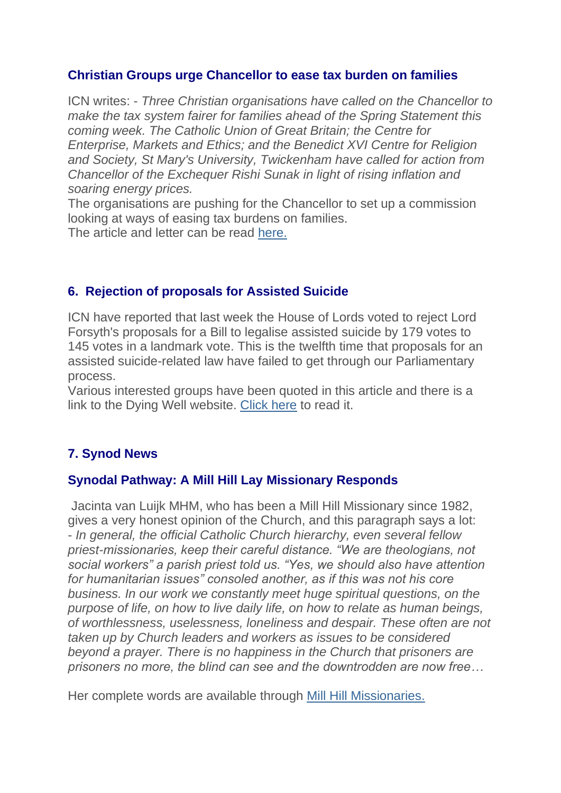### **Christian Groups urge Chancellor to ease tax burden on families**

ICN writes: - *Three Christian organisations have called on the Chancellor to make the tax system fairer for families ahead of the Spring Statement this coming week. The Catholic Union of Great Britain; the Centre for Enterprise, Markets and Ethics; and the Benedict XVI Centre for Religion and Society, St Mary's University, Twickenham have called for action from Chancellor of the Exchequer Rishi Sunak in light of rising inflation and soaring energy prices.*

The organisations are pushing for the Chancellor to set up a commission looking at ways of easing tax burdens on families.

The article and letter can be read [here.](https://justice-and-peace.us7.list-manage.com/track/click?u=43dc262537b1536e87dc04eca&id=7c3342405a&e=21ab98db78)

## **6. Rejection of proposals for Assisted Suicide**

ICN have reported that last week the House of Lords voted to reject Lord Forsyth's proposals for a Bill to legalise assisted suicide by 179 votes to 145 votes in a landmark vote. This is the twelfth time that proposals for an assisted suicide-related law have failed to get through our Parliamentary process.

Various interested groups have been quoted in this article and there is a link to the Dying Well website. [Click here](https://justice-and-peace.us7.list-manage.com/track/click?u=43dc262537b1536e87dc04eca&id=d894a84878&e=21ab98db78) to read it.

# **7. Synod News**

### **Synodal Pathway: A Mill Hill Lay Missionary Responds**

Jacinta van Luijk MHM, who has been a Mill Hill Missionary since 1982, gives a very honest opinion of the Church, and this paragraph says a lot: - *In general, the official Catholic Church hierarchy, even several fellow priest-missionaries, keep their careful distance. "We are theologians, not social workers" a parish priest told us. "Yes, we should also have attention for humanitarian issues" consoled another, as if this was not his core business. In our work we constantly meet huge spiritual questions, on the purpose of life, on how to live daily life, on how to relate as human beings, of worthlessness, uselessness, loneliness and despair. These often are not taken up by Church leaders and workers as issues to be considered beyond a prayer. There is no happiness in the Church that prisoners are prisoners no more, the blind can see and the downtrodden are now free…*

Her complete words are available through [Mill Hill Missionaries.](https://justice-and-peace.us7.list-manage.com/track/click?u=43dc262537b1536e87dc04eca&id=1a38ccec1d&e=21ab98db78)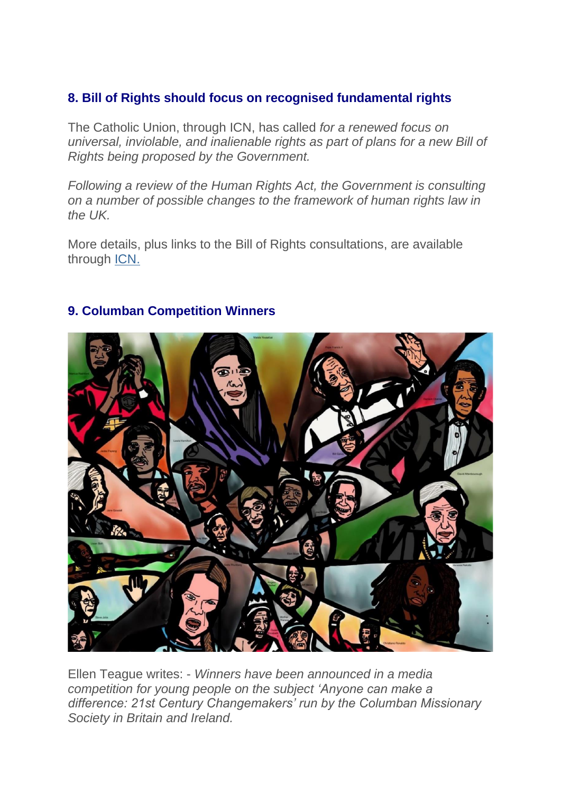## **8. Bill of Rights should focus on recognised fundamental rights**

The Catholic Union, through ICN, has called *for a renewed focus on universal, inviolable, and inalienable rights as part of plans for a new Bill of Rights being proposed by the Government.*

*Following a review of the Human Rights Act, the Government is consulting on a number of possible changes to the framework of human rights law in the UK.*

More details, plus links to the Bill of Rights consultations, are available through [ICN.](https://justice-and-peace.us7.list-manage.com/track/click?u=43dc262537b1536e87dc04eca&id=0ae7fb71d2&e=21ab98db78)



## **9. Columban Competition Winners**

Ellen Teague writes: - *Winners have been announced in a media competition for young people on the subject 'Anyone can make a difference: 21st Century Changemakers' run by the Columban Missionary Society in Britain and Ireland.*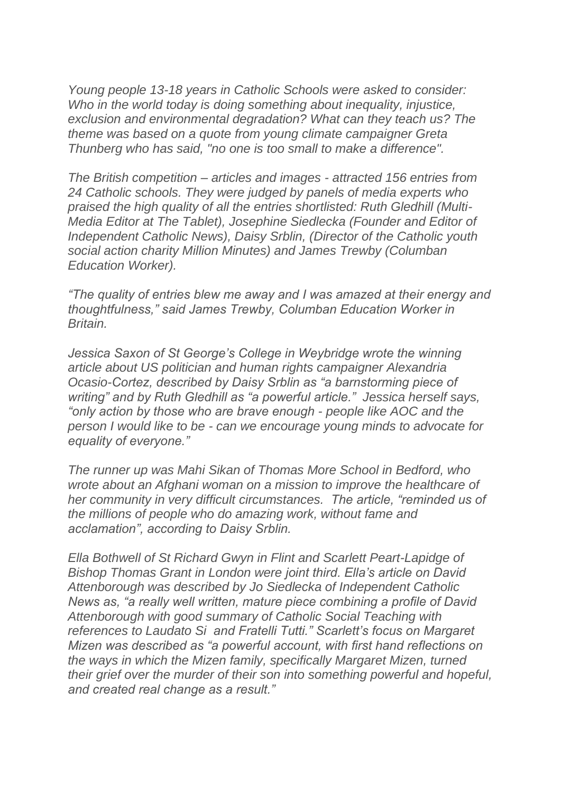*Young people 13-18 years in Catholic Schools were asked to consider: Who in the world today is doing something about inequality, injustice, exclusion and environmental degradation? What can they teach us? The theme was based on a quote from young climate campaigner Greta Thunberg who has said, "no one is too small to make a difference".*

*The British competition – articles and images - attracted 156 entries from 24 Catholic schools. They were judged by panels of media experts who praised the high quality of all the entries shortlisted: Ruth Gledhill (Multi-Media Editor at The Tablet), Josephine Siedlecka (Founder and Editor of Independent Catholic News), Daisy Srblin, (Director of the Catholic youth social action charity Million Minutes) and James Trewby (Columban Education Worker).*

*"The quality of entries blew me away and I was amazed at their energy and thoughtfulness," said James Trewby, Columban Education Worker in Britain.*

*Jessica Saxon of St George's College in Weybridge wrote the winning article about US politician and human rights campaigner Alexandria Ocasio-Cortez, described by Daisy Srblin as "a barnstorming piece of writing" and by Ruth Gledhill as "a powerful article." Jessica herself says, "only action by those who are brave enough - people like AOC and the person I would like to be - can we encourage young minds to advocate for equality of everyone."*

*The runner up was Mahi Sikan of Thomas More School in Bedford, who wrote about an Afghani woman on a mission to improve the healthcare of her community in very difficult circumstances. The article, "reminded us of the millions of people who do amazing work, without fame and acclamation", according to Daisy Srblin.*

*Ella Bothwell of St Richard Gwyn in Flint and Scarlett Peart-Lapidge of Bishop Thomas Grant in London were joint third. Ella's article on David Attenborough was described by Jo Siedlecka of Independent Catholic News as, "a really well written, mature piece combining a profile of David Attenborough with good summary of Catholic Social Teaching with references to Laudato Si and Fratelli Tutti." Scarlett's focus on Margaret Mizen was described as "a powerful account, with first hand reflections on the ways in which the Mizen family, specifically Margaret Mizen, turned their grief over the murder of their son into something powerful and hopeful, and created real change as a result."*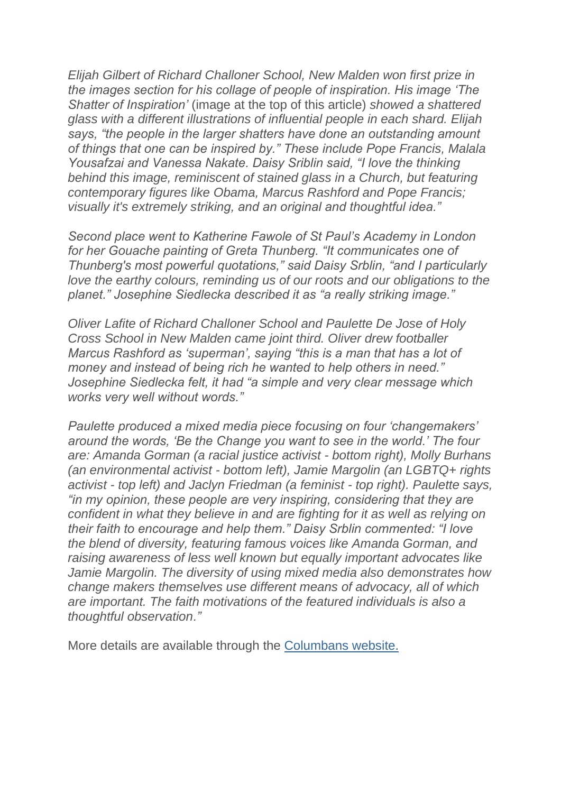*Elijah Gilbert of Richard Challoner School, New Malden won first prize in the images section for his collage of people of inspiration. His image 'The Shatter of Inspiration'* (image at the top of this article) *showed a shattered glass with a different illustrations of influential people in each shard. Elijah says, "the people in the larger shatters have done an outstanding amount of things that one can be inspired by." These include Pope Francis, Malala Yousafzai and Vanessa Nakate. Daisy Sriblin said, "I love the thinking behind this image, reminiscent of stained glass in a Church, but featuring contemporary figures like Obama, Marcus Rashford and Pope Francis; visually it's extremely striking, and an original and thoughtful idea."*

*Second place went to Katherine Fawole of St Paul's Academy in London for her Gouache painting of Greta Thunberg. "It communicates one of Thunberg's most powerful quotations," said Daisy Srblin, "and I particularly love the earthy colours, reminding us of our roots and our obligations to the planet." Josephine Siedlecka described it as "a really striking image."*

*Oliver Lafite of Richard Challoner School and Paulette De Jose of Holy Cross School in New Malden came joint third. Oliver drew footballer Marcus Rashford as 'superman', saying "this is a man that has a lot of money and instead of being rich he wanted to help others in need." Josephine Siedlecka felt, it had "a simple and very clear message which works very well without words."*

*Paulette produced a mixed media piece focusing on four 'changemakers' around the words, 'Be the Change you want to see in the world.' The four are: Amanda Gorman (a racial justice activist - bottom right), Molly Burhans (an environmental activist - bottom left), Jamie Margolin (an LGBTQ+ rights activist - top left) and Jaclyn Friedman (a feminist - top right). Paulette says, "in my opinion, these people are very inspiring, considering that they are confident in what they believe in and are fighting for it as well as relying on their faith to encourage and help them." Daisy Srblin commented: "I love the blend of diversity, featuring famous voices like Amanda Gorman, and raising awareness of less well known but equally important advocates like Jamie Margolin. The diversity of using mixed media also demonstrates how change makers themselves use different means of advocacy, all of which are important. The faith motivations of the featured individuals is also a thoughtful observation."*

More details are available through the [Columbans website.](https://justice-and-peace.us7.list-manage.com/track/click?u=43dc262537b1536e87dc04eca&id=1388236340&e=21ab98db78)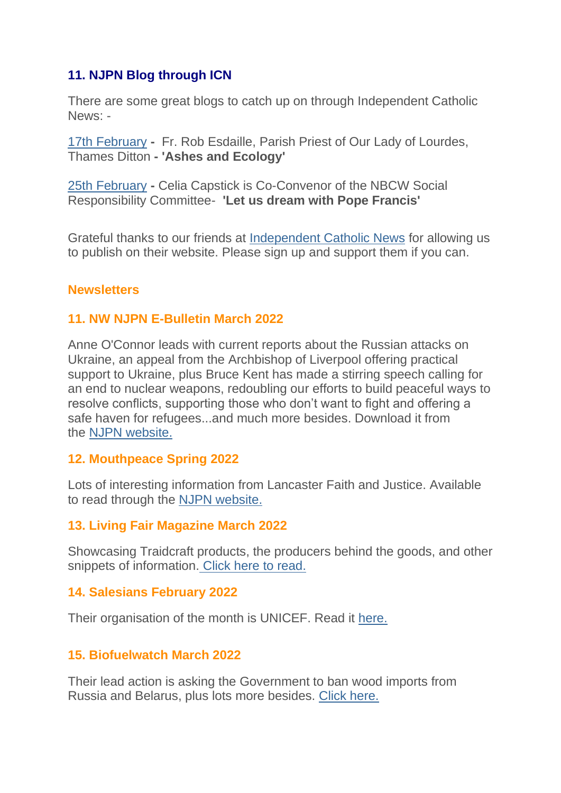## **11. NJPN Blog through ICN**

There are some great blogs to catch up on through Independent Catholic News: -

[17th February](https://justice-and-peace.us7.list-manage.com/track/click?u=43dc262537b1536e87dc04eca&id=7de45f1827&e=21ab98db78) **-** Fr. Rob Esdaille, Parish Priest of Our Lady of Lourdes, Thames Ditton **- 'Ashes and Ecology'**

[25th February](https://justice-and-peace.us7.list-manage.com/track/click?u=43dc262537b1536e87dc04eca&id=bd1abb6dbf&e=21ab98db78) **-** Celia Capstick is Co-Convenor of the NBCW Social Responsibility Committee- **'Let us dream with Pope Francis'**

Grateful thanks to our friends at [Independent Catholic News](https://justice-and-peace.us7.list-manage.com/track/click?u=43dc262537b1536e87dc04eca&id=647bac0e83&e=21ab98db78) for allowing us to publish on their website. Please sign up and support them if you can.

## **Newsletters**

## **11. NW NJPN E-Bulletin March 2022**

Anne O'Connor leads with current reports about the Russian attacks on Ukraine, an appeal from the Archbishop of Liverpool offering practical support to Ukraine, plus Bruce Kent has made a stirring speech calling for an end to nuclear weapons, redoubling our efforts to build peaceful ways to resolve conflicts, supporting those who don't want to fight and offering a safe haven for refugees...and much more besides. Download it from the [NJPN website.](https://justice-and-peace.us7.list-manage.com/track/click?u=43dc262537b1536e87dc04eca&id=a224e5ce2a&e=21ab98db78)

### **12. Mouthpeace Spring 2022**

Lots of interesting information from Lancaster Faith and Justice. Available to read through the [NJPN website.](https://justice-and-peace.us7.list-manage.com/track/click?u=43dc262537b1536e87dc04eca&id=d38a95e8fb&e=21ab98db78)

### **13. Living Fair Magazine March 2022**

Showcasing Traidcraft products, the producers behind the goods, and other snippets of information. [Click here to read.](https://justice-and-peace.us7.list-manage.com/track/click?u=43dc262537b1536e87dc04eca&id=d4c0bb4222&e=21ab98db78)

### **14. Salesians February 2022**

Their organisation of the month is UNICEF. Read it [here.](https://justice-and-peace.us7.list-manage.com/track/click?u=43dc262537b1536e87dc04eca&id=5575dbfab7&e=21ab98db78)

## **15. Biofuelwatch March 2022**

Their lead action is asking the Government to ban wood imports from Russia and Belarus, plus lots more besides. [Click here.](https://justice-and-peace.us7.list-manage.com/track/click?u=43dc262537b1536e87dc04eca&id=f1516b8bbf&e=21ab98db78)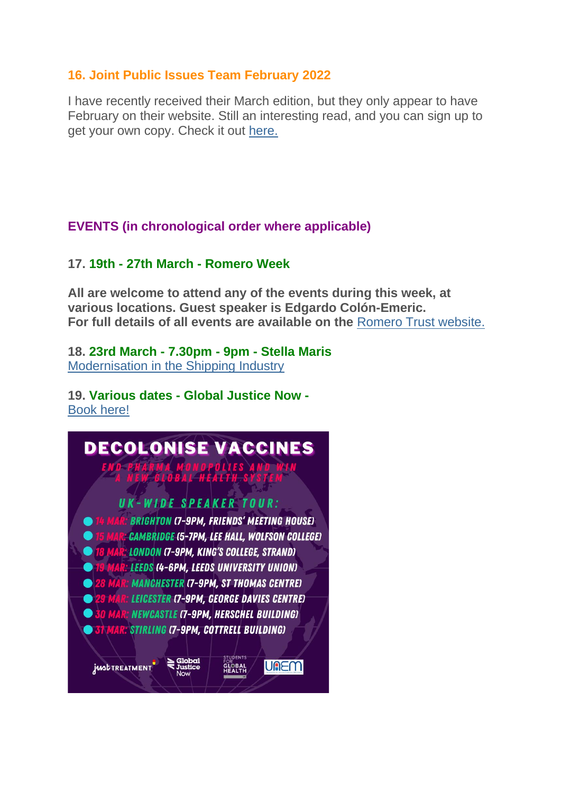### **16. Joint Public Issues Team February 2022**

I have recently received their March edition, but they only appear to have February on their website. Still an interesting read, and you can sign up to get your own copy. Check it out [here.](https://justice-and-peace.us7.list-manage.com/track/click?u=43dc262537b1536e87dc04eca&id=a522d9825c&e=21ab98db78)

## **EVENTS (in chronological order where applicable)**

### **17. 19th - 27th March - Romero Week**

**All are welcome to attend any of the events during this week, at various locations. Guest speaker is Edgardo Colón-Emeric. For full details of all events are available on the** [Romero Trust website.](https://justice-and-peace.us7.list-manage.com/track/click?u=43dc262537b1536e87dc04eca&id=7a2565f277&e=21ab98db78)

### **18. 23rd March - 7.30pm - 9pm - Stella Maris** [Modernisation in the Shipping Industry](https://justice-and-peace.us7.list-manage.com/track/click?u=43dc262537b1536e87dc04eca&id=9f7a4dcd99&e=21ab98db78)

#### **19. Various dates - Global Justice Now -** [Book here!](https://justice-and-peace.us7.list-manage.com/track/click?u=43dc262537b1536e87dc04eca&id=b849226b08&e=21ab98db78)

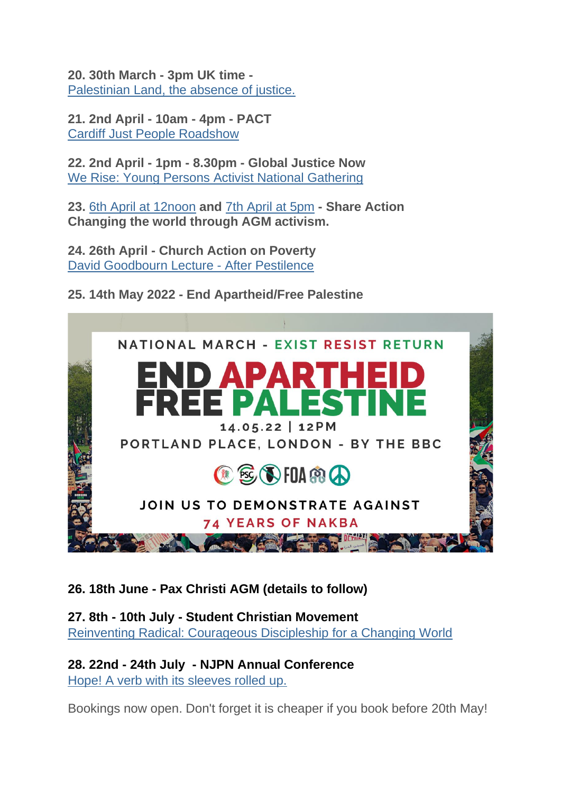**20. 30th March - 3pm UK time -**  [Palestinian Land, the absence of justice.](https://justice-and-peace.us7.list-manage.com/track/click?u=43dc262537b1536e87dc04eca&id=da0949fd99&e=21ab98db78)

**21. 2nd April - 10am - 4pm - PACT** [Cardiff Just People Roadshow](https://justice-and-peace.us7.list-manage.com/track/click?u=43dc262537b1536e87dc04eca&id=be3880d65c&e=21ab98db78)

**22. 2nd April - 1pm - 8.30pm - Global Justice Now** [We Rise: Young Persons Activist National Gathering](https://justice-and-peace.us7.list-manage.com/track/click?u=43dc262537b1536e87dc04eca&id=7943248323&e=21ab98db78)

**23.** [6th April at 12noon](https://justice-and-peace.us7.list-manage.com/track/click?u=43dc262537b1536e87dc04eca&id=eb08f0aa12&e=21ab98db78) **and** [7th April at 5pm](https://justice-and-peace.us7.list-manage.com/track/click?u=43dc262537b1536e87dc04eca&id=b36faafba1&e=21ab98db78) **- Share Action Changing the world through AGM activism.**

**24. 26th April - Church Action on Poverty** [David Goodbourn Lecture -](https://justice-and-peace.us7.list-manage.com/track/click?u=43dc262537b1536e87dc04eca&id=03d0b27f42&e=21ab98db78) After Pestilence

**25. 14th May 2022 - End Apartheid/Free Palestine**



**26. 18th June - Pax Christi AGM (details to follow)**

### **27. 8th - 10th July - Student Christian Movement** [Reinventing Radical: Courageous Discipleship for a Changing World](https://justice-and-peace.us7.list-manage.com/track/click?u=43dc262537b1536e87dc04eca&id=03407f64e2&e=21ab98db78)

**28. 22nd - 24th July - NJPN Annual Conference** [Hope! A verb with its sleeves rolled up.](https://justice-and-peace.us7.list-manage.com/track/click?u=43dc262537b1536e87dc04eca&id=fb7c5f68ff&e=21ab98db78)

Bookings now open. Don't forget it is cheaper if you book before 20th May!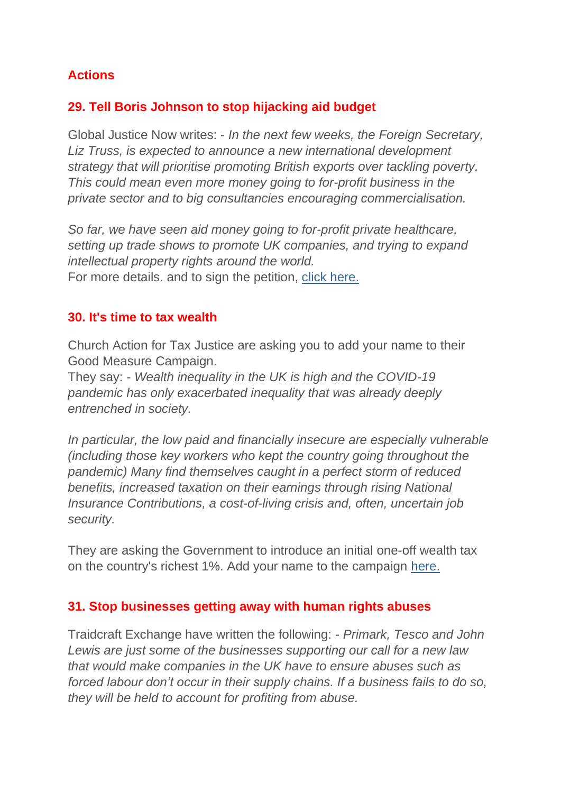# **Actions**

## **29. Tell Boris Johnson to stop hijacking aid budget**

Global Justice Now writes: - *In the next few weeks, the Foreign Secretary, Liz Truss, is expected to announce a new international development strategy that will prioritise promoting British exports over tackling poverty. This could mean even more money going to for-profit business in the private sector and to big consultancies encouraging commercialisation.*

*So far, we have seen aid money going to for-profit private healthcare, setting up trade shows to promote UK companies, and trying to expand intellectual property rights around the world.*

For more details. and to sign the petition, [click here.](https://justice-and-peace.us7.list-manage.com/track/click?u=43dc262537b1536e87dc04eca&id=8d2571b341&e=21ab98db78)

## **30. It's time to tax wealth**

Church Action for Tax Justice are asking you to add your name to their Good Measure Campaign.

They say: - *Wealth inequality in the UK is high and the COVID-19 pandemic has only exacerbated inequality that was already deeply entrenched in society.*

*In particular, the low paid and financially insecure are especially vulnerable (including those key workers who kept the country going throughout the pandemic) Many find themselves caught in a perfect storm of reduced benefits, increased taxation on their earnings through rising National Insurance Contributions, a cost-of-living crisis and, often, uncertain job security.*

They are asking the Government to introduce an initial one-off wealth tax on the country's richest 1%. Add your name to the campaign [here.](https://justice-and-peace.us7.list-manage.com/track/click?u=43dc262537b1536e87dc04eca&id=e572996684&e=21ab98db78)

## **31. Stop businesses getting away with human rights abuses**

Traidcraft Exchange have written the following: - *Primark, Tesco and John Lewis are just some of the businesses supporting our call for a new law that would make companies in the UK have to ensure abuses such as forced labour don't occur in their supply chains. If a business fails to do so, they will be held to account for profiting from abuse.*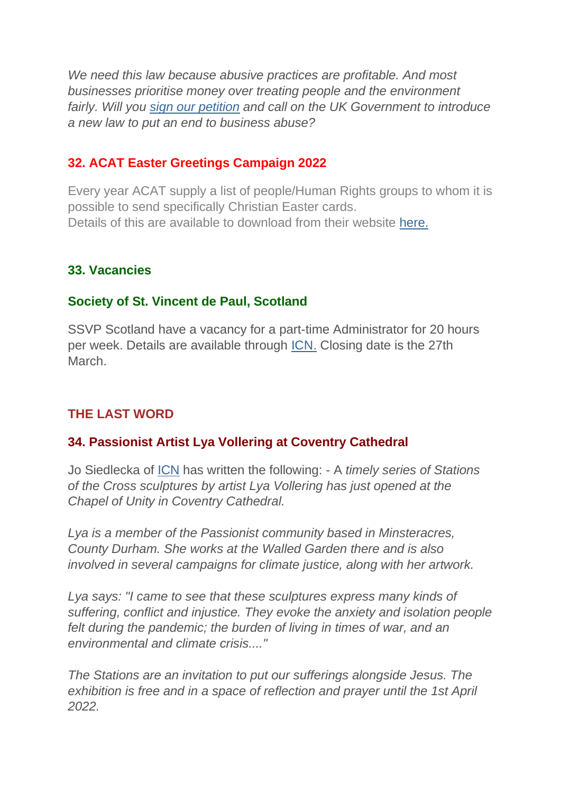*We need this law because abusive practices are profitable. And most businesses prioritise money over treating people and the environment fairly. Will you [sign our petition](https://justice-and-peace.us7.list-manage.com/track/click?u=43dc262537b1536e87dc04eca&id=f15d052284&e=21ab98db78) and call on the UK Government to introduce a new law to put an end to business abuse?*

## **32. ACAT Easter Greetings Campaign 2022**

Every year ACAT supply a list of people/Human Rights groups to whom it is possible to send specifically Christian Easter cards. Details of this are available to download from their website [here.](https://justice-and-peace.us7.list-manage.com/track/click?u=43dc262537b1536e87dc04eca&id=09f1704b7f&e=21ab98db78)

## **33. Vacancies**

## **Society of St. Vincent de Paul, Scotland**

SSVP Scotland have a vacancy for a part-time Administrator for 20 hours per week. Details are available through [ICN.](https://justice-and-peace.us7.list-manage.com/track/click?u=43dc262537b1536e87dc04eca&id=af4ca77aab&e=21ab98db78) Closing date is the 27th March.

## **THE LAST WORD**

## **34. Passionist Artist Lya Vollering at Coventry Cathedral**

Jo Siedlecka of [ICN](https://justice-and-peace.us7.list-manage.com/track/click?u=43dc262537b1536e87dc04eca&id=4101e91cc0&e=21ab98db78) has written the following: - A *timely series of Stations of the Cross sculptures by artist Lya Vollering has just opened at the Chapel of Unity in Coventry Cathedral.*

*Lya is a member of the Passionist community based in Minsteracres, County Durham. She works at the Walled Garden there and is also involved in several campaigns for climate justice, along with her artwork.*

*Lya says: "I came to see that these sculptures express many kinds of suffering, conflict and injustice. They evoke the anxiety and isolation people felt during the pandemic; the burden of living in times of war, and an environmental and climate crisis...."*

*The Stations are an invitation to put our sufferings alongside Jesus. The exhibition is free and in a space of reflection and prayer until the 1st April 2022.*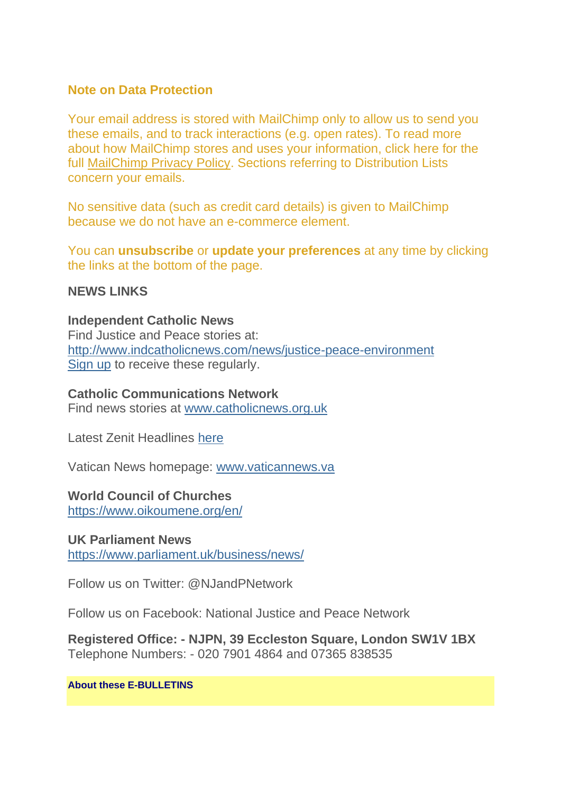### **Note on Data Protection**

Your email address is stored with MailChimp only to allow us to send you these emails, and to track interactions (e.g. open rates). To read more about how MailChimp stores and uses your information, click here for the full [MailChimp Privacy Policy.](https://justice-and-peace.us7.list-manage.com/track/click?u=43dc262537b1536e87dc04eca&id=b12093f926&e=21ab98db78) Sections referring to Distribution Lists concern your emails.

No sensitive data (such as credit card details) is given to MailChimp because we do not have an e-commerce element.

You can **unsubscribe** or **update your preferences** at any time by clicking the links at the bottom of the page.

### **NEWS LINKS**

**Independent Catholic News** Find Justice and Peace stories at: [http://www.indcatholicnews.com/news/justice-peace-environment](https://justice-and-peace.us7.list-manage.com/track/click?u=43dc262537b1536e87dc04eca&id=571733aaa1&e=21ab98db78) [Sign up](https://justice-and-peace.us7.list-manage.com/track/click?u=43dc262537b1536e87dc04eca&id=cb98e33d01&e=21ab98db78) to receive these regularly.

#### **Catholic Communications Network**

Find news stories at [www.catholicnews.org.uk](https://justice-and-peace.us7.list-manage.com/track/click?u=43dc262537b1536e87dc04eca&id=0a18a7eaf3&e=21ab98db78)

Latest Zenit Headlines [here](https://justice-and-peace.us7.list-manage.com/track/click?u=43dc262537b1536e87dc04eca&id=e2a2103bc1&e=21ab98db78)

Vatican News homepage: [www.vaticannews.va](https://justice-and-peace.us7.list-manage.com/track/click?u=43dc262537b1536e87dc04eca&id=51e9914b9d&e=21ab98db78)

### **World Council of Churches**

[https://www.oikoumene.org/en/](https://justice-and-peace.us7.list-manage.com/track/click?u=43dc262537b1536e87dc04eca&id=9f82e7711f&e=21ab98db78)

**UK Parliament News** [https://www.parliament.uk/business/news/](https://justice-and-peace.us7.list-manage.com/track/click?u=43dc262537b1536e87dc04eca&id=fea2536572&e=21ab98db78)

Follow us on Twitter: @N.JandPNetwork

Follow us on Facebook: National Justice and Peace Network

**Registered Office: - NJPN, 39 Eccleston Square, London SW1V 1BX** Telephone Numbers: - 020 7901 4864 and 07365 838535

#### **About these E-BULLETINS**